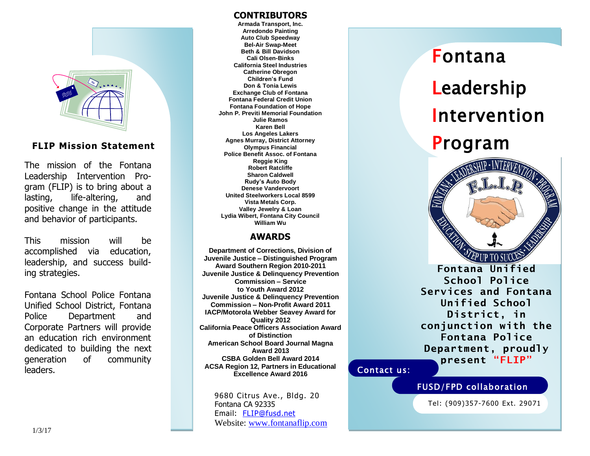

### **FLIP Mission Statement**

The mission of the Fontana Leadership Intervention Program (FLIP) is to bring about a lasting, life-altering, and positive change in the attitude and behavior of participants.

This mission will be accomplished via education, leadership, and success building strategies.

Fontana School Police Fontana Unified School District, Fontana Police Department and Corporate Partners will provide an education rich environment dedicated to building the next generation of community leaders.

### **CONTRIBUTORS**

**Armada Transport, Inc. Arredondo Painting Auto Club Speedway Bel-Air Swap-Meet Beth & Bill Davidson Cali Olsen-Binks California Steel Industries Catherine Obregon Children's Fund Don & Tonia Lewis Exchange Club of Fontana Fontana Federal Credit Union Fontana Foundation of Hope John P. Previti Memorial Foundation Julie Ramos Karen Bell Los Angeles Lakers Agnes Murray, District Attorney Olympus Financial Police Benefit Assoc. of Fontana Reggie King Robert Ratcliffe Sharon Caldwell Rudy's Auto Body Denese Vandervoort United Steelworkers Local 8599 Vista Metals Corp. Valley Jewelry & Loan Lydia Wibert, Fontana City Council William Wu**

#### **AWARDS**

**Department of Corrections, Division of Juvenile Justice – Distinguished Program Award Southern Region 2010-2011 Juvenile Justice & Delinquency Prevention Commission – Service to Youth Award 2012 Juvenile Justice & Delinquency Prevention Commission – Non-Profit Award 2011 IACP/Motorola Webber Seavey Award for Quality 2012 California Peace Officers Association Award of Distinction American School Board Journal Magna Award 2013 CSBA Golden Bell Award 2014 ACSA Region 12, Partners in Educational Excellence Award 2016**

> 9680 Citrus Ave., Bldg. 20 Fontana CA 92335 Email: [FLIP@fusd.net](mailto:FLIP@fusd.net) Website: [www.fontanaflip.com](http://www.fontanaflip.com/)

# Fontana **Leadership** Intervention Program



**Fontana Unified School Police Services and Fontana Unified School District, in conjunction with the Fontana Police Department, proudly present "FLIP"**

### Contact us:

### FUSD/FPD collaboration

Tel: (909)357-7600 Ext. 29071